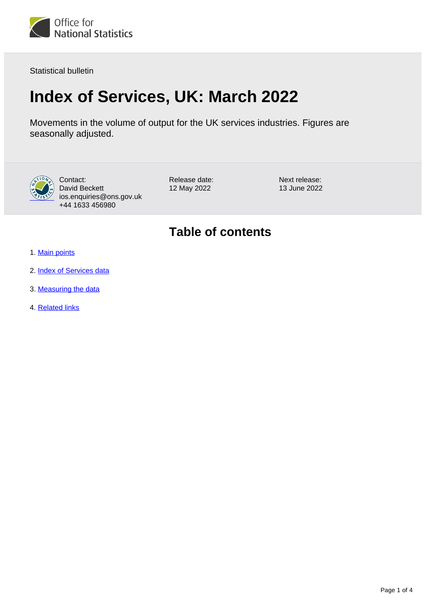

Statistical bulletin

# **Index of Services, UK: March 2022**

Movements in the volume of output for the UK services industries. Figures are seasonally adjusted.



Contact: David Beckett ios.enquiries@ons.gov.uk +44 1633 456980

Release date: 12 May 2022

Next release: 13 June 2022

## **Table of contents**

- 1. [Main points](#page-1-0)
- 2. [Index of Services data](#page-1-1)
- 3. [Measuring the data](#page-1-2)
- 4. [Related links](#page-3-0)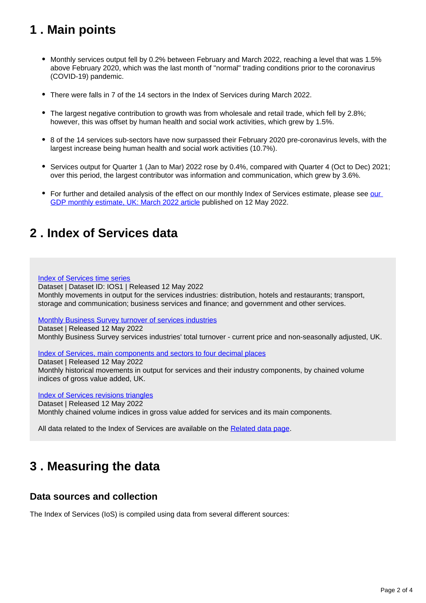## <span id="page-1-0"></span>**1 . Main points**

- Monthly services output fell by 0.2% between February and March 2022, reaching a level that was 1.5% above February 2020, which was the last month of "normal" trading conditions prior to the coronavirus (COVID-19) pandemic.
- There were falls in 7 of the 14 sectors in the Index of Services during March 2022.
- The largest negative contribution to growth was from wholesale and retail trade, which fell by 2.8%; however, this was offset by human health and social work activities, which grew by 1.5%.
- 8 of the 14 services sub-sectors have now surpassed their February 2020 pre-coronavirus levels, with the largest increase being human health and social work activities (10.7%).
- Services output for Quarter 1 (Jan to Mar) 2022 rose by 0.4%, compared with Quarter 4 (Oct to Dec) 2021; over this period, the largest contributor was information and communication, which grew by 3.6%.
- For further and detailed analysis of the effect on [our](https://www.ons.gov.uk/releases/gdpmonthlyestimateukMarch2022) monthly Index of Services estimate, please see our [GDP monthly estimate, UK: March 2022 article](https://www.ons.gov.uk/releases/gdpmonthlyestimateukMarch2022) published on 12 May 2022.

### <span id="page-1-1"></span>**2 . Index of Services data**

#### [Index of Services time series](https://www.ons.gov.uk/economy/economicoutputandproductivity/output/datasets/indexofservices)

Dataset | Dataset ID: IOS1 | Released 12 May 2022 Monthly movements in output for the services industries: distribution, hotels and restaurants; transport, storage and communication; business services and finance; and government and other services.

[Monthly Business Survey turnover of services industries](https://www.ons.gov.uk/economy/economicoutputandproductivity/output/datasets/monthlybusinesssurveymbsturnoverofservicesindustries)

Dataset | Released 12 May 2022 Monthly Business Survey services industries' total turnover - current price and non-seasonally adjusted, UK.

[Index of Services, main components and sectors to four decimal places](https://www.ons.gov.uk/economy/economicoutputandproductivity/output/datasets/indexofservicesandmaincomponentsto4dp)

Dataset | Released 12 May 2022 Monthly historical movements in output for services and their industry components, by chained volume indices of gross value added, UK.

[Index of Services revisions triangles](https://www.ons.gov.uk/economy/economicoutputandproductivity/output/datasets/indexofservicesrevisionstriangles)

Dataset | Released 12 May 2022 Monthly chained volume indices in gross value added for services and its main components.

All data related to the Index of Services are available on the [Related data page.](https://www.ons.gov.uk/economy/economicoutputandproductivity/output/bulletins/indexofservices/march2022/relateddata)

## <span id="page-1-2"></span>**3 . Measuring the data**

#### **Data sources and collection**

The Index of Services (IoS) is compiled using data from several different sources: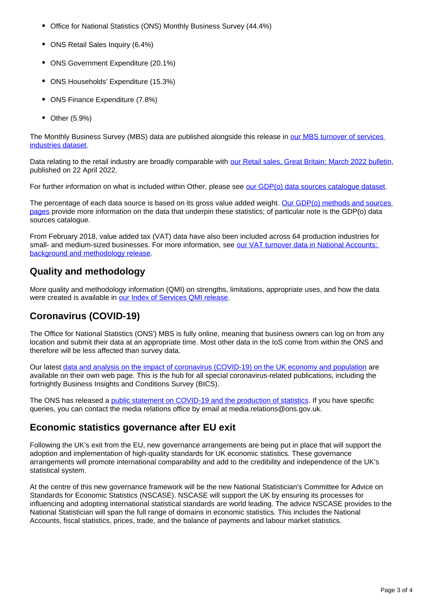- Office for National Statistics (ONS) Monthly Business Survey (44.4%)
- ONS Retail Sales Inquiry (6.4%)
- ONS Government Expenditure (20.1%)
- ONS Households' Expenditure (15.3%)
- ONS Finance Expenditure (7.8%)
- $\bullet$ Other (5.9%)

The Monthly Business Survey (MBS) data are published alongside this release in [our MBS turnover of services](https://www.ons.gov.uk/economy/economicoutputandproductivity/output/datasets/monthlybusinesssurveymbsturnoverofservicesindustries)  [industries dataset.](https://www.ons.gov.uk/economy/economicoutputandproductivity/output/datasets/monthlybusinesssurveymbsturnoverofservicesindustries)

Data relating to the retail industry are broadly comparable with [our Retail sales, Great Britain: March 2022 bulletin](https://www.ons.gov.uk/businessindustryandtrade/retailindustry/bulletins/retailsales/march2022), published on 22 April 2022.

For further information on what is included within Other, please see [our GDP\(o\) data sources catalogue dataset.](https://www.ons.gov.uk/economy/grossdomesticproductgdp/datasets/gdpodatasourcescatalogue)

The percentage of each data source is based on its gross value added weight. [Our GDP\(o\) methods and sources](https://www.ons.gov.uk/economy/economicoutputandproductivity/output/methodologies/indexofservicesios)  [pages](https://www.ons.gov.uk/economy/economicoutputandproductivity/output/methodologies/indexofservicesios) provide more information on the data that underpin these statistics; of particular note is the GDP(o) data sources catalogue.

From February 2018, value added tax (VAT) data have also been included across 64 production industries for small- and medium-sized businesses. For more information, see our VAT turnover data in National Accounts: [background and methodology release](https://www.ons.gov.uk/economy/grossdomesticproductgdp/methodologies/vatturnoverdatainnationalaccountsbackgroundandmethodology).

### **Quality and methodology**

More quality and methodology information (QMI) on strengths, limitations, appropriate uses, and how the data were created is available in [our Index of Services QMI release.](https://www.ons.gov.uk/economy/nationalaccounts/uksectoraccounts/methodologies/indexofservicesqmi)

### **Coronavirus (COVID-19)**

The Office for National Statistics (ONS') MBS is fully online, meaning that business owners can log on from any location and submit their data at an appropriate time. Most other data in the IoS come from within the ONS and therefore will be less affected than survey data.

Our latest [data and analysis on the impact of coronavirus \(COVID-19\) on the UK economy and population](https://www.ons.gov.uk/peoplepopulationandcommunity/healthandsocialcare/conditionsanddiseases) are available on their own web page. This is the hub for all special coronavirus-related publications, including the fortnightly Business Insights and Conditions Survey (BICS).

The ONS has released a [public statement on COVID-19 and the production of statistics](https://www.ons.gov.uk/news/statementsandletters/covid19andtheproductionofstatistics). If you have specific queries, you can contact the media relations office by email at media.relations@ons.gov.uk.

### **Economic statistics governance after EU exit**

Following the UK's exit from the EU, new governance arrangements are being put in place that will support the adoption and implementation of high-quality standards for UK economic statistics. These governance arrangements will promote international comparability and add to the credibility and independence of the UK's statistical system.

At the centre of this new governance framework will be the new National Statistician's Committee for Advice on Standards for Economic Statistics (NSCASE). NSCASE will support the UK by ensuring its processes for influencing and adopting international statistical standards are world leading. The advice NSCASE provides to the National Statistician will span the full range of domains in economic statistics. This includes the National Accounts, fiscal statistics, prices, trade, and the balance of payments and labour market statistics.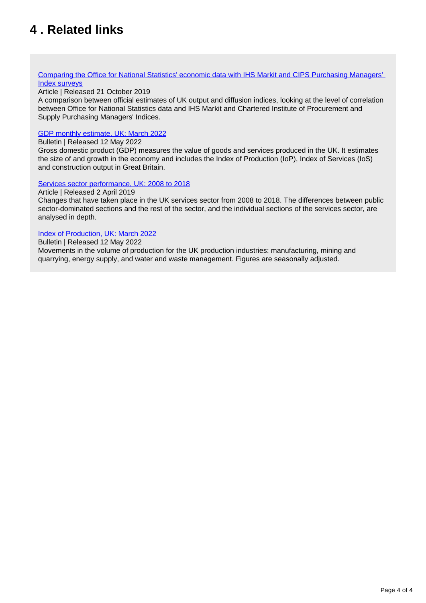## <span id="page-3-0"></span>**4 . Related links**

#### [Comparing the Office for National Statistics' economic data with IHS Markit and CIPS Purchasing Managers'](https://www.ons.gov.uk/economy/nationalaccounts/uksectoraccounts/compendium/economicreview/october2019/comparingonsseconomicdatawithihsmarkitandcipspurchasingmanagersindexsurveys)  [Index surveys](https://www.ons.gov.uk/economy/nationalaccounts/uksectoraccounts/compendium/economicreview/october2019/comparingonsseconomicdatawithihsmarkitandcipspurchasingmanagersindexsurveys)

#### Article | Released 21 October 2019

A comparison between official estimates of UK output and diffusion indices, looking at the level of correlation between Office for National Statistics data and IHS Markit and Chartered Institute of Procurement and Supply Purchasing Managers' Indices.

#### [GDP monthly estimate, UK: March 2022](https://www.ons.gov.uk/releases/gdpmonthlyestimateukMarch2022)

#### Bulletin | Released 12 May 2022

Gross domestic product (GDP) measures the value of goods and services produced in the UK. It estimates the size of and growth in the economy and includes the Index of Production (IoP), Index of Services (IoS) and construction output in Great Britain.

#### [Services sector performance, UK: 2008 to 2018](https://www.ons.gov.uk/economy/economicoutputandproductivity/output/articles/servicessectoruk/2008to2018)

#### Article | Released 2 April 2019

Changes that have taken place in the UK services sector from 2008 to 2018. The differences between public sector-dominated sections and the rest of the sector, and the individual sections of the services sector, are analysed in depth.

#### [Index of Production, UK: March 2022](https://www.ons.gov.uk/economy/economicoutputandproductivity/output/bulletins/indexofproduction/march2022)

Bulletin | Released 12 May 2022

Movements in the volume of production for the UK production industries: manufacturing, mining and quarrying, energy supply, and water and waste management. Figures are seasonally adjusted.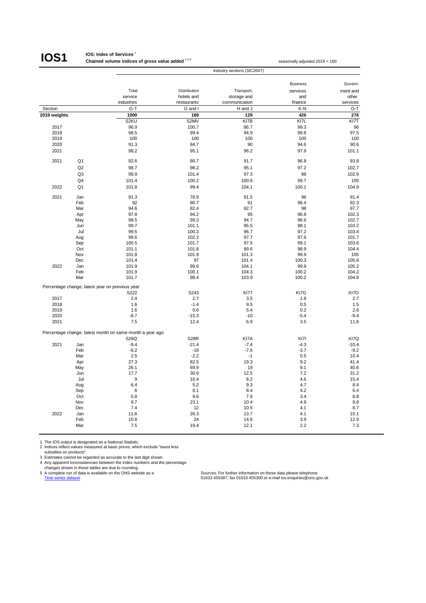### **IOS1**

#### **IOS: Index of Services** <sup>1</sup>

**Chained volume indices of gross value added** <sup>2,3,4</sup> seasonally adjusted 2019 = 100 Industry sections (SIC2007)

|              |                |                                                          |                            |                           | <b>Business</b> | Govern-           |
|--------------|----------------|----------------------------------------------------------|----------------------------|---------------------------|-----------------|-------------------|
|              |                | Total<br>service                                         | Distribution<br>hotels and | Transport,<br>storage and | services        | ment and<br>other |
|              |                | industries                                               | restaurants                | communication             | and<br>finance  | services          |
| Section      |                | $G-T$                                                    | G and I                    | H and J                   | K-N             | O-T               |
| 2019 weights |                | 1000                                                     | 169                        | 129                       | 426             | 276               |
|              |                | S <sub>2</sub> KU                                        | S2MV                       | KI7B                      | KI7L            | KI7T              |
| 2017         |                | 96.9                                                     | 100.7                      | 86.7                      | 99.3            | 96                |
| 2018         |                | 98.5                                                     | 99.4                       | 94.9                      | 99.8            | 97.5              |
| 2019         |                | 100                                                      | 100                        | 100                       | 100             | 100               |
| 2020         |                | 91.3                                                     | 84.7                       | 90                        | 94.6            | 90.6              |
| 2021         |                | 98.2                                                     | 95.1                       | 96.2                      | 97.9            | 101.1             |
|              |                |                                                          |                            |                           |                 |                   |
| 2021         | Q1             | 92.6                                                     | 80.7                       | 91.7                      | 96.8            | 93.8              |
|              | Q2             | 98.7                                                     | 98.2                       | 95.1                      | 97.2            | 102.7             |
|              | Q <sub>3</sub> | 99.9                                                     | 101.4                      | 97.3                      | 98              | 102.9             |
|              | Q4             | 101.4                                                    | 100.2                      | 100.8                     | 99.7            | 105               |
| 2022         | Q <sub>1</sub> | 101.8                                                    | 99.4                       | 104.1                     | 100.1           | 104.8             |
| 2021         | Jan            | 91.3                                                     | 78.9                       | 91.5                      | 96              | 91.4              |
|              | Feb            | 92                                                       | 80.7                       | 91                        | 96.4            | 92.3              |
|              | Mar            | 94.6                                                     | 82.4                       | 92.7                      | 98              | 97.7              |
|              | Apr            | 97.8                                                     | 94.2                       | 95                        | 96.8            | 102.3             |
|              | May            | 98.5                                                     | 99.3                       | 94.7                      | 96.6            | 102.7             |
|              | Jun            | 99.7                                                     | 101.1                      | 95.5                      | 98.1            | 103.2             |
|              | Jul            | 99.5                                                     | 100.3                      | 96.7                      | 97.2            | 103.4             |
|              | Aug            | 99.6                                                     | 102.2                      | 97.7                      | 97.6            | 101.7             |
|              | Sep            | 100.5                                                    | 101.7                      | 97.5                      | 99.1            | 103.6             |
|              | Oct            | 101.1                                                    | 101.8                      | 99.6                      | 98.9            | 104.4             |
|              | Nov            | 101.8                                                    | 101.9                      | 101.3                     | 99.9            | 105               |
|              | Dec            | 101.4                                                    | 97                         | 101.4                     | 100.3           | 105.6             |
| 2022         | Jan            | 101.9                                                    | 99.6                       | 104.1                     | 99.9            | 105.2             |
|              | Feb            | 101.9                                                    | 100.1                      | 104.3                     | 100.2           | 104.2             |
|              | Mar            | 101.7                                                    | 98.4                       | 103.9                     | 100.2           | 104.8             |
|              |                | Percentage change, latest year on previous year          |                            |                           |                 |                   |
|              |                | S222                                                     | S243                       | <b>KI77</b>               | KI7G            | KI7O              |
| 2017         |                | 2.4                                                      | 2.7                        | 3.5                       | 1.8             | 2.7               |
| 2018         |                | 1.6                                                      | $-1.4$                     | 9.5                       | 0.5             | 1.5               |
| 2019         |                | 1.6                                                      | 0.6                        | 5.4                       | 0.2             | 2.6               |
| 2020         |                | $-8.7$                                                   | $-15.3$                    | $-10$                     | $-5.4$          | $-9.4$            |
| 2021         |                | 7.5                                                      | 12.4                       | 6.9                       | 3.5             | 11.6              |
|              |                | Percentage change, latest month on same month a year ago |                            |                           |                 |                   |
|              |                | S26Q                                                     | <b>S28R</b>                | KI7A                      | KI7I            | KI7Q              |
| 2021         | Jan            | $-9.4$                                                   | $-21.4$                    | $-7.4$                    | $-4.3$          | $-10.4$           |
|              | Feb            | $-8.2$                                                   | $-19$                      | $-7.6$                    | $-3.7$          | $-9.2$            |
|              | Mar            | 2.5                                                      | $-2.2$                     | $-1$                      | 0.5             | 10.4              |
|              | Apr            | 27.3                                                     | 82.5                       | 19.3                      | 9.2             | 41.4              |
|              | May            | 26.1                                                     | 69.9                       | 19                        | 9.1             | 40.6              |
|              | Jun            | 17.7                                                     | 30.9                       | 12.5                      | 7.2             | 31.2              |
|              | Jul            | 9                                                        | 10.4                       | 8.2                       | 4.6             | 15.4              |
|              | Aug            | 6.4                                                      | 5.2                        | 9.3                       | 4.7             | 8.4               |
|              | Sep            | 6                                                        | 8.1                        | 8.4                       | 4.2             | 6.4               |
|              | Oct            | 5.8                                                      | 9.6                        | 7.8                       | 3.4             | 6.8               |
|              | Nov            | 9.7                                                      | 23.1                       | 10.4                      | 4.9             | 9.8               |
| 2022         | Dec            | 7.4                                                      | 12                         | 10.5                      | 4.1             | 8.7               |
|              | Jan<br>Feb     | 11.6                                                     | 26.3<br>24                 | 13.7<br>14.6              | 4.1<br>3.9      | 15.1<br>12.9      |
|              | Mar            | 10.8<br>7.5                                              | 19.4                       | 12.1                      | 2.2             | 7.3               |
|              |                |                                                          |                            |                           |                 |                   |

1 The IOS output is designated as a National Statistic. 2 Indices reflect values measured at basic prices, which exclude "taxes less

subsidies on products".

3 Estimates cannot be regarded as accurate to the last digit shown. 4 Any apparent inconsistencies between the index numbers and the percentage

Figures shown in these tables are due to rounding.<br>
Shown in these tables are due to rounding.<br>
Shown is these tables are due to rounding.

5 A complete run of data is available on the ONS website as a Sources: For further information on these data please telephone<br>T<u>ime series dataset</u> ons.gov.uk in the ONS website as a Sources: 1633 456387; fax 01633 455300